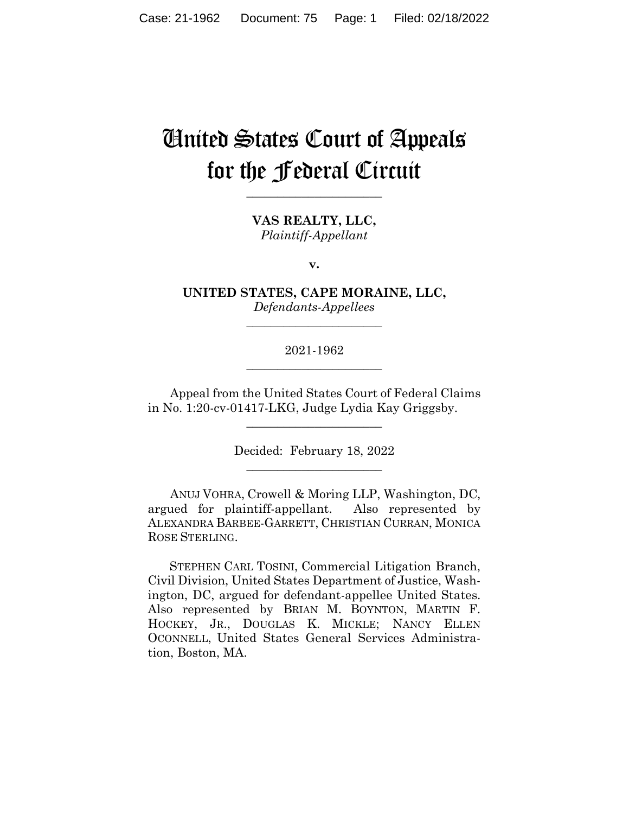# United States Court of Appeals for the Federal Circuit

**\_\_\_\_\_\_\_\_\_\_\_\_\_\_\_\_\_\_\_\_\_\_** 

**VAS REALTY, LLC,** *Plaintiff-Appellant*

**v.**

**UNITED STATES, CAPE MORAINE, LLC,** *Defendants-Appellees*

**\_\_\_\_\_\_\_\_\_\_\_\_\_\_\_\_\_\_\_\_\_\_** 

2021-1962 **\_\_\_\_\_\_\_\_\_\_\_\_\_\_\_\_\_\_\_\_\_\_** 

Appeal from the United States Court of Federal Claims in No. 1:20-cv-01417-LKG, Judge Lydia Kay Griggsby.

 $\overline{\phantom{a}}$  , where  $\overline{\phantom{a}}$  , where  $\overline{\phantom{a}}$  , where  $\overline{\phantom{a}}$ 

Decided: February 18, 2022  $\overline{\phantom{a}}$  , we can assume that the contract of  $\overline{\phantom{a}}$ 

ANUJ VOHRA, Crowell & Moring LLP, Washington, DC, argued for plaintiff-appellant. Also represented by ALEXANDRA BARBEE-GARRETT, CHRISTIAN CURRAN, MONICA ROSE STERLING.

 STEPHEN CARL TOSINI, Commercial Litigation Branch, Civil Division, United States Department of Justice, Washington, DC, argued for defendant-appellee United States. Also represented by BRIAN M. BOYNTON, MARTIN F. HOCKEY, JR., DOUGLAS K. MICKLE; NANCY ELLEN OCONNELL, United States General Services Administration, Boston, MA.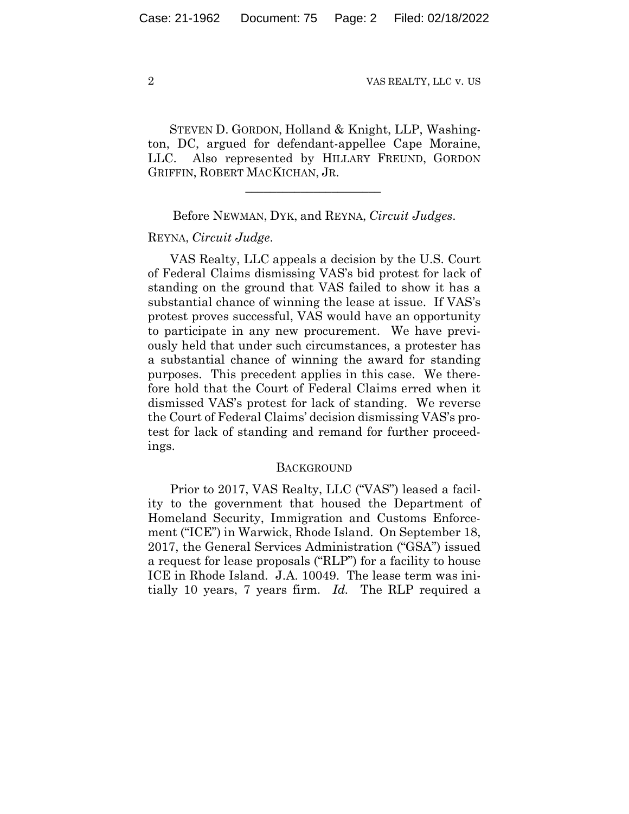STEVEN D. GORDON, Holland & Knight, LLP, Washington, DC, argued for defendant-appellee Cape Moraine, LLC. Also represented by HILLARY FREUND, GORDON GRIFFIN, ROBERT MACKICHAN, JR.

Before NEWMAN, DYK, and REYNA, *Circuit Judges*.

 $\mathcal{L}_\text{max}$  and  $\mathcal{L}_\text{max}$  and  $\mathcal{L}_\text{max}$  and  $\mathcal{L}_\text{max}$ 

# REYNA, *Circuit Judge*.

VAS Realty, LLC appeals a decision by the U.S. Court of Federal Claims dismissing VAS's bid protest for lack of standing on the ground that VAS failed to show it has a substantial chance of winning the lease at issue. If VAS's protest proves successful, VAS would have an opportunity to participate in any new procurement. We have previously held that under such circumstances, a protester has a substantial chance of winning the award for standing purposes. This precedent applies in this case. We therefore hold that the Court of Federal Claims erred when it dismissed VAS's protest for lack of standing. We reverse the Court of Federal Claims' decision dismissing VAS's protest for lack of standing and remand for further proceedings.

#### **BACKGROUND**

Prior to 2017, VAS Realty, LLC ("VAS") leased a facility to the government that housed the Department of Homeland Security, Immigration and Customs Enforcement ("ICE") in Warwick, Rhode Island. On September 18, 2017, the General Services Administration ("GSA") issued a request for lease proposals ("RLP") for a facility to house ICE in Rhode Island. J.A. 10049. The lease term was initially 10 years, 7 years firm. *Id.* The RLP required a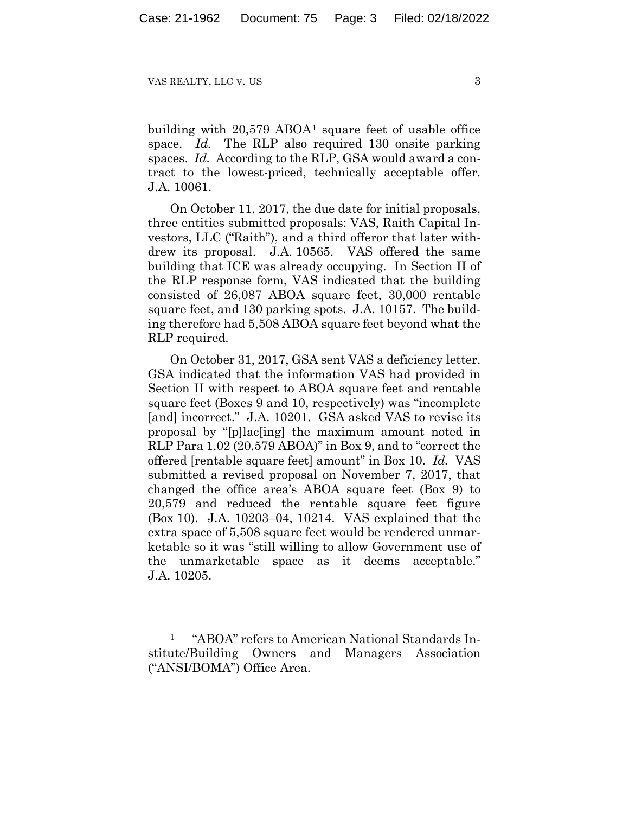building with 20,579 ABOA1 square feet of usable office space. *Id.* The RLP also required 130 onsite parking spaces. *Id.* According to the RLP, GSA would award a contract to the lowest-priced, technically acceptable offer. J.A. 10061.

On October 11, 2017, the due date for initial proposals, three entities submitted proposals: VAS, Raith Capital Investors, LLC ("Raith"), and a third offeror that later withdrew its proposal. J.A. 10565. VAS offered the same building that ICE was already occupying. In Section II of the RLP response form, VAS indicated that the building consisted of 26,087 ABOA square feet, 30,000 rentable square feet, and 130 parking spots. J.A. 10157. The building therefore had 5,508 ABOA square feet beyond what the RLP required.

On October 31, 2017, GSA sent VAS a deficiency letter. GSA indicated that the information VAS had provided in Section II with respect to ABOA square feet and rentable square feet (Boxes 9 and 10, respectively) was "incomplete [and] incorrect." J.A. 10201. GSA asked VAS to revise its proposal by "[p]lac[ing] the maximum amount noted in RLP Para 1.02 (20,579 ABOA)" in Box 9, and to "correct the offered [rentable square feet] amount" in Box 10. *Id.* VAS submitted a revised proposal on November 7, 2017, that changed the office area's ABOA square feet (Box 9) to 20,579 and reduced the rentable square feet figure (Box 10). J.A. 10203–04, 10214. VAS explained that the extra space of 5,508 square feet would be rendered unmarketable so it was "still willing to allow Government use of the unmarketable space as it deems acceptable." J.A. 10205.

<sup>1 &</sup>quot;ABOA" refers to American National Standards Institute/Building Owners and Managers Association ("ANSI/BOMA") Office Area.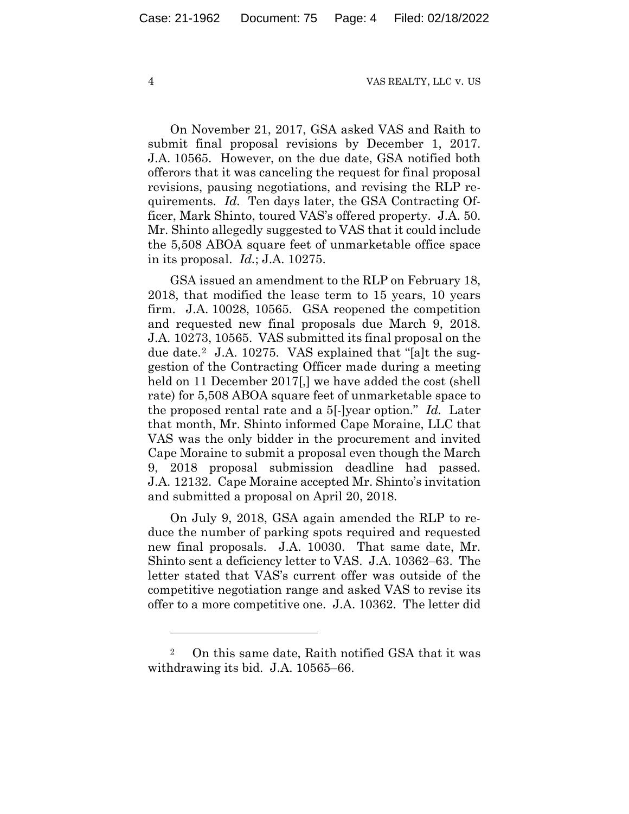On November 21, 2017, GSA asked VAS and Raith to submit final proposal revisions by December 1, 2017. J.A. 10565. However, on the due date, GSA notified both offerors that it was canceling the request for final proposal revisions, pausing negotiations, and revising the RLP requirements. *Id.* Ten days later, the GSA Contracting Officer, Mark Shinto, toured VAS's offered property. J.A. 50. Mr. Shinto allegedly suggested to VAS that it could include the 5,508 ABOA square feet of unmarketable office space in its proposal. *Id.*; J.A. 10275.

GSA issued an amendment to the RLP on February 18, 2018, that modified the lease term to 15 years, 10 years firm. J.A. 10028, 10565. GSA reopened the competition and requested new final proposals due March 9, 2018. J.A. 10273, 10565. VAS submitted its final proposal on the due date.2 J.A. 10275. VAS explained that "[a]t the suggestion of the Contracting Officer made during a meeting held on 11 December 2017. we have added the cost (shell rate) for 5,508 ABOA square feet of unmarketable space to the proposed rental rate and a 5[-]year option." *Id.* Later that month, Mr. Shinto informed Cape Moraine, LLC that VAS was the only bidder in the procurement and invited Cape Moraine to submit a proposal even though the March 9, 2018 proposal submission deadline had passed. J.A. 12132. Cape Moraine accepted Mr. Shinto's invitation and submitted a proposal on April 20, 2018.

On July 9, 2018, GSA again amended the RLP to reduce the number of parking spots required and requested new final proposals. J.A. 10030. That same date, Mr. Shinto sent a deficiency letter to VAS. J.A. 10362–63. The letter stated that VAS's current offer was outside of the competitive negotiation range and asked VAS to revise its offer to a more competitive one. J.A. 10362. The letter did

<sup>2</sup> On this same date, Raith notified GSA that it was withdrawing its bid. J.A. 10565–66.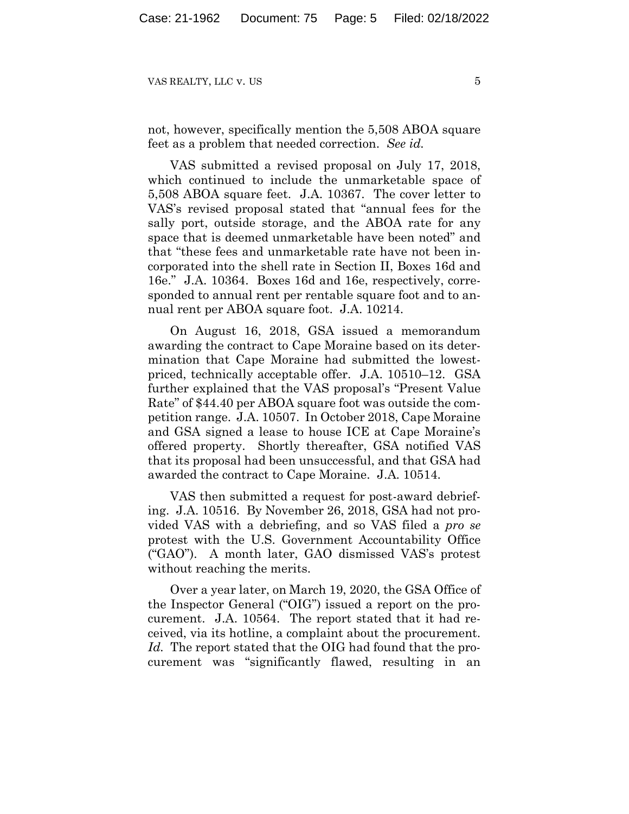not, however, specifically mention the 5,508 ABOA square feet as a problem that needed correction. *See id.*

VAS submitted a revised proposal on July 17, 2018, which continued to include the unmarketable space of 5,508 ABOA square feet. J.A. 10367. The cover letter to VAS's revised proposal stated that "annual fees for the sally port, outside storage, and the ABOA rate for any space that is deemed unmarketable have been noted" and that "these fees and unmarketable rate have not been incorporated into the shell rate in Section II, Boxes 16d and 16e." J.A. 10364. Boxes 16d and 16e, respectively, corresponded to annual rent per rentable square foot and to annual rent per ABOA square foot. J.A. 10214.

On August 16, 2018, GSA issued a memorandum awarding the contract to Cape Moraine based on its determination that Cape Moraine had submitted the lowestpriced, technically acceptable offer. J.A. 10510–12. GSA further explained that the VAS proposal's "Present Value Rate" of \$44.40 per ABOA square foot was outside the competition range. J.A. 10507. In October 2018, Cape Moraine and GSA signed a lease to house ICE at Cape Moraine's offered property. Shortly thereafter, GSA notified VAS that its proposal had been unsuccessful, and that GSA had awarded the contract to Cape Moraine. J.A. 10514.

VAS then submitted a request for post-award debriefing. J.A. 10516. By November 26, 2018, GSA had not provided VAS with a debriefing, and so VAS filed a *pro se*  protest with the U.S. Government Accountability Office ("GAO"). A month later, GAO dismissed VAS's protest without reaching the merits.

Over a year later, on March 19, 2020, the GSA Office of the Inspector General ("OIG") issued a report on the procurement. J.A. 10564. The report stated that it had received, via its hotline, a complaint about the procurement. *Id.* The report stated that the OIG had found that the procurement was "significantly flawed, resulting in an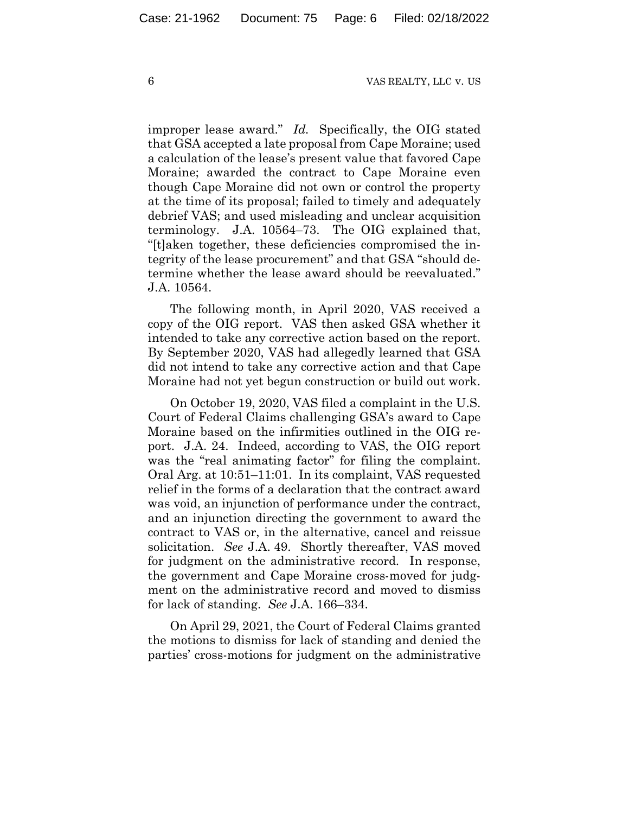improper lease award." *Id.* Specifically, the OIG stated that GSA accepted a late proposal from Cape Moraine; used a calculation of the lease's present value that favored Cape Moraine; awarded the contract to Cape Moraine even though Cape Moraine did not own or control the property at the time of its proposal; failed to timely and adequately debrief VAS; and used misleading and unclear acquisition terminology. J.A. 10564–73. The OIG explained that, "[t]aken together, these deficiencies compromised the integrity of the lease procurement" and that GSA "should determine whether the lease award should be reevaluated." J.A. 10564.

The following month, in April 2020, VAS received a copy of the OIG report. VAS then asked GSA whether it intended to take any corrective action based on the report. By September 2020, VAS had allegedly learned that GSA did not intend to take any corrective action and that Cape Moraine had not yet begun construction or build out work.

On October 19, 2020, VAS filed a complaint in the U.S. Court of Federal Claims challenging GSA's award to Cape Moraine based on the infirmities outlined in the OIG report. J.A. 24. Indeed, according to VAS, the OIG report was the "real animating factor" for filing the complaint. Oral Arg. at 10:51–11:01. In its complaint, VAS requested relief in the forms of a declaration that the contract award was void, an injunction of performance under the contract, and an injunction directing the government to award the contract to VAS or, in the alternative, cancel and reissue solicitation. *See* J.A. 49. Shortly thereafter, VAS moved for judgment on the administrative record. In response, the government and Cape Moraine cross-moved for judgment on the administrative record and moved to dismiss for lack of standing. *See* J.A. 166–334.

On April 29, 2021, the Court of Federal Claims granted the motions to dismiss for lack of standing and denied the parties' cross-motions for judgment on the administrative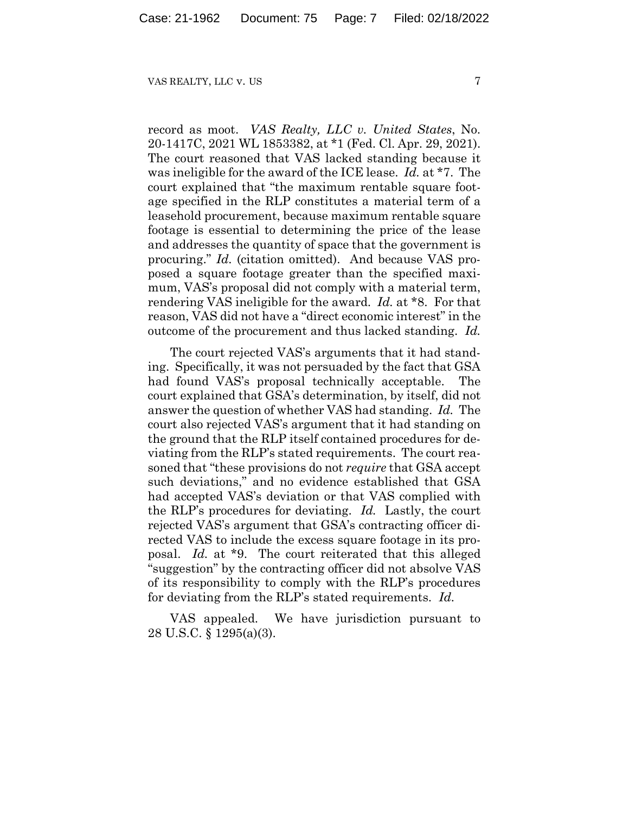record as moot. *VAS Realty, LLC v. United States*, No. 20-1417C, 2021 WL 1853382, at \*1 (Fed. Cl. Apr. 29, 2021). The court reasoned that VAS lacked standing because it was ineligible for the award of the ICE lease. *Id.* at \*7. The court explained that "the maximum rentable square footage specified in the RLP constitutes a material term of a leasehold procurement, because maximum rentable square footage is essential to determining the price of the lease and addresses the quantity of space that the government is procuring." *Id.* (citation omitted). And because VAS proposed a square footage greater than the specified maximum, VAS's proposal did not comply with a material term, rendering VAS ineligible for the award. *Id.* at \*8. For that reason, VAS did not have a "direct economic interest" in the outcome of the procurement and thus lacked standing. *Id.*

The court rejected VAS's arguments that it had standing. Specifically, it was not persuaded by the fact that GSA had found VAS's proposal technically acceptable. The court explained that GSA's determination, by itself, did not answer the question of whether VAS had standing. *Id.* The court also rejected VAS's argument that it had standing on the ground that the RLP itself contained procedures for deviating from the RLP's stated requirements. The court reasoned that "these provisions do not *require* that GSA accept such deviations," and no evidence established that GSA had accepted VAS's deviation or that VAS complied with the RLP's procedures for deviating. *Id.* Lastly, the court rejected VAS's argument that GSA's contracting officer directed VAS to include the excess square footage in its proposal. *Id.* at \*9. The court reiterated that this alleged "suggestion" by the contracting officer did not absolve VAS of its responsibility to comply with the RLP's procedures for deviating from the RLP's stated requirements. *Id.*

VAS appealed. We have jurisdiction pursuant to 28 U.S.C. § 1295(a)(3).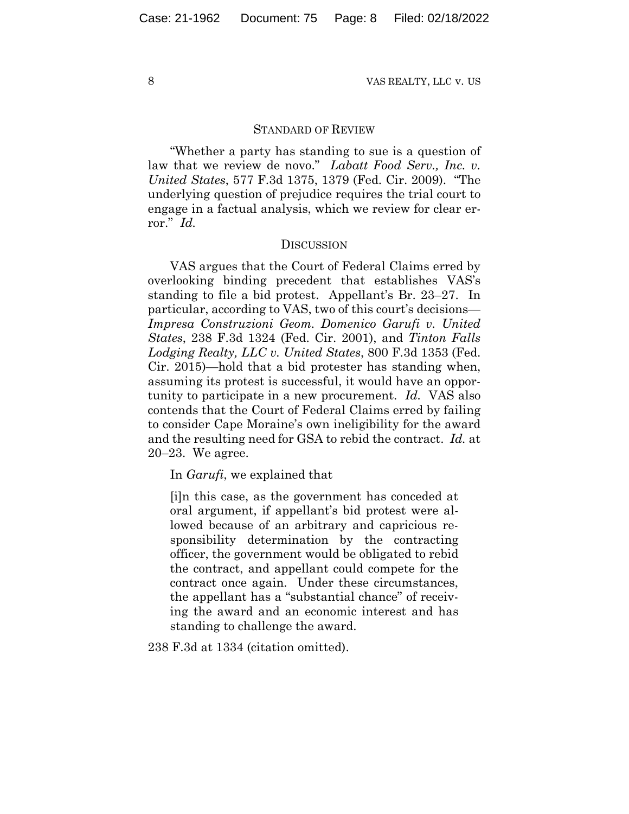### STANDARD OF REVIEW

"Whether a party has standing to sue is a question of law that we review de novo." *Labatt Food Serv., Inc. v. United States*, 577 F.3d 1375, 1379 (Fed. Cir. 2009). "The underlying question of prejudice requires the trial court to engage in a factual analysis, which we review for clear error." *Id.*

#### **DISCUSSION**

VAS argues that the Court of Federal Claims erred by overlooking binding precedent that establishes VAS's standing to file a bid protest. Appellant's Br. 23–27. In particular, according to VAS, two of this court's decisions— *Impresa Construzioni Geom. Domenico Garufi v. United States*, 238 F.3d 1324 (Fed. Cir. 2001), and *Tinton Falls Lodging Realty, LLC v. United States*, 800 F.3d 1353 (Fed. Cir. 2015)—hold that a bid protester has standing when, assuming its protest is successful, it would have an opportunity to participate in a new procurement. *Id.* VAS also contends that the Court of Federal Claims erred by failing to consider Cape Moraine's own ineligibility for the award and the resulting need for GSA to rebid the contract. *Id.* at 20–23. We agree.

In *Garufi*, we explained that

[i]n this case, as the government has conceded at oral argument, if appellant's bid protest were allowed because of an arbitrary and capricious responsibility determination by the contracting officer, the government would be obligated to rebid the contract, and appellant could compete for the contract once again. Under these circumstances, the appellant has a "substantial chance" of receiving the award and an economic interest and has standing to challenge the award.

238 F.3d at 1334 (citation omitted).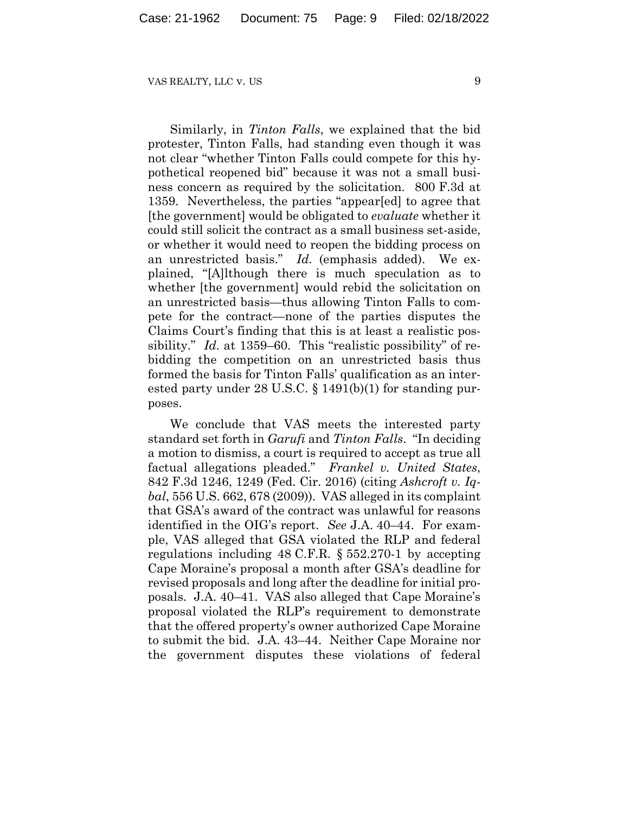Similarly, in *Tinton Falls*, we explained that the bid protester, Tinton Falls, had standing even though it was not clear "whether Tinton Falls could compete for this hypothetical reopened bid" because it was not a small business concern as required by the solicitation. 800 F.3d at 1359. Nevertheless, the parties "appear[ed] to agree that [the government] would be obligated to *evaluate* whether it could still solicit the contract as a small business set-aside, or whether it would need to reopen the bidding process on an unrestricted basis." *Id.* (emphasis added). We explained, "[A]lthough there is much speculation as to whether [the government] would rebid the solicitation on an unrestricted basis—thus allowing Tinton Falls to compete for the contract—none of the parties disputes the Claims Court's finding that this is at least a realistic possibility." *Id.* at 1359–60. This "realistic possibility" of rebidding the competition on an unrestricted basis thus formed the basis for Tinton Falls' qualification as an interested party under 28 U.S.C. § 1491(b)(1) for standing purposes.

We conclude that VAS meets the interested party standard set forth in *Garufi* and *Tinton Falls*. "In deciding a motion to dismiss, a court is required to accept as true all factual allegations pleaded." *Frankel v. United States*, 842 F.3d 1246, 1249 (Fed. Cir. 2016) (citing *Ashcroft v. Iqbal*, 556 U.S. 662, 678 (2009)). VAS alleged in its complaint that GSA's award of the contract was unlawful for reasons identified in the OIG's report. *See* J.A. 40–44. For example, VAS alleged that GSA violated the RLP and federal regulations including 48 C.F.R. § 552.270-1 by accepting Cape Moraine's proposal a month after GSA's deadline for revised proposals and long after the deadline for initial proposals. J.A. 40–41. VAS also alleged that Cape Moraine's proposal violated the RLP's requirement to demonstrate that the offered property's owner authorized Cape Moraine to submit the bid. J.A. 43–44. Neither Cape Moraine nor the government disputes these violations of federal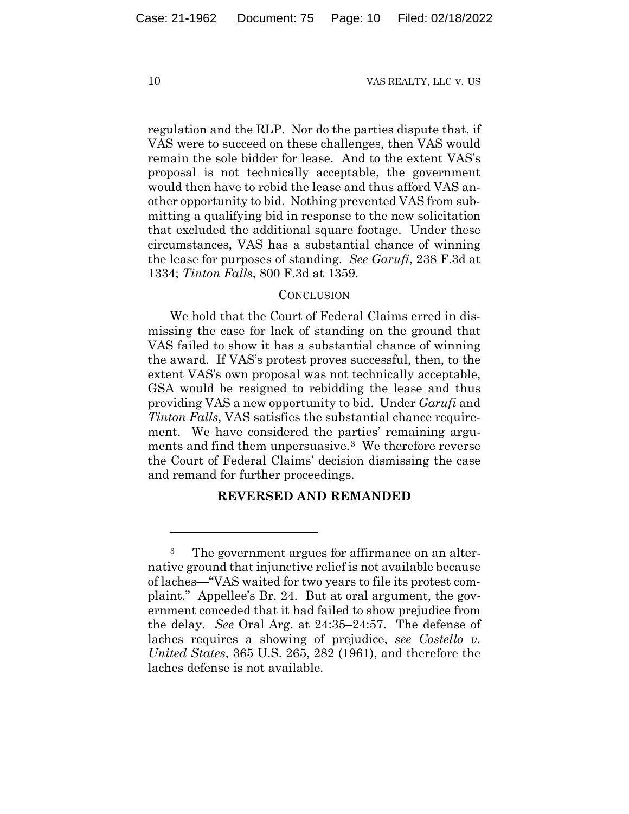regulation and the RLP. Nor do the parties dispute that, if VAS were to succeed on these challenges, then VAS would remain the sole bidder for lease. And to the extent VAS's proposal is not technically acceptable, the government would then have to rebid the lease and thus afford VAS another opportunity to bid. Nothing prevented VAS from submitting a qualifying bid in response to the new solicitation that excluded the additional square footage. Under these circumstances, VAS has a substantial chance of winning the lease for purposes of standing. *See Garufi*, 238 F.3d at 1334; *Tinton Falls*, 800 F.3d at 1359.

# **CONCLUSION**

We hold that the Court of Federal Claims erred in dismissing the case for lack of standing on the ground that VAS failed to show it has a substantial chance of winning the award. If VAS's protest proves successful, then, to the extent VAS's own proposal was not technically acceptable, GSA would be resigned to rebidding the lease and thus providing VAS a new opportunity to bid. Under *Garufi* and *Tinton Falls*, VAS satisfies the substantial chance requirement. We have considered the parties' remaining arguments and find them unpersuasive.<sup>3</sup> We therefore reverse the Court of Federal Claims' decision dismissing the case and remand for further proceedings.

### **REVERSED AND REMANDED**

<sup>3</sup> The government argues for affirmance on an alternative ground that injunctive relief is not available because of laches—"VAS waited for two years to file its protest complaint." Appellee's Br. 24. But at oral argument, the government conceded that it had failed to show prejudice from the delay. *See* Oral Arg. at 24:35–24:57. The defense of laches requires a showing of prejudice, *see Costello v. United States*, 365 U.S. 265, 282 (1961), and therefore the laches defense is not available.